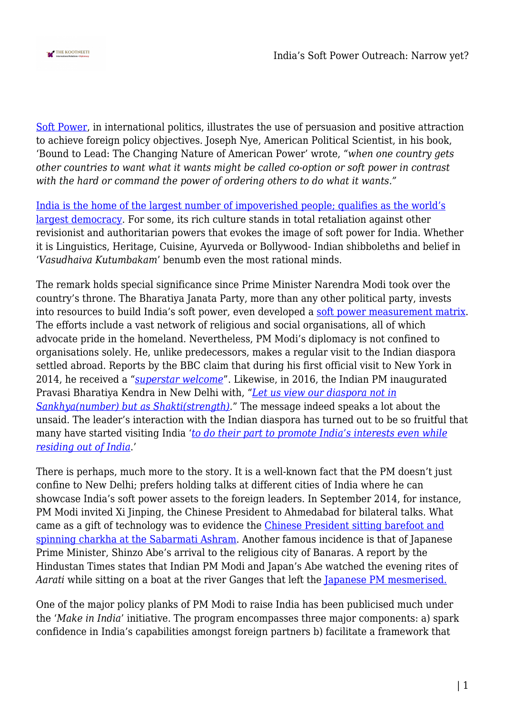

[Soft Power,](https://softpower30.com/what-is-soft-power/) in international politics, illustrates the use of persuasion and positive attraction to achieve foreign policy objectives. Joseph Nye, American Political Scientist, in his book, 'Bound to Lead: The Changing Nature of American Power' wrote, "*when one country gets other countries to want what it wants might be called co-option or soft power in contrast with the hard or command the power of ordering others to do what it wants."*

[India is the home of the largest number of impoverished people; qualifies as the world's](https://www.brookings.edu/opinions/india-rising-soft-power-and-the-worlds-largest-democracy/) [largest democracy.](https://www.brookings.edu/opinions/india-rising-soft-power-and-the-worlds-largest-democracy/) For some, its rich culture stands in total retaliation against other revisionist and authoritarian powers that evokes the image of soft power for India. Whether it is Linguistics, Heritage, Cuisine, Ayurveda or Bollywood- Indian shibboleths and belief in '*Vasudhaiva Kutumbakam*' benumb even the most rational minds.

The remark holds special significance since Prime Minister Narendra Modi took over the country's throne. The Bharatiya Janata Party, more than any other political party, invests into resources to build India's soft power, even developed a [soft power measurement matrix](https://scroll.in/article/961333/narendra-modis-soft-power-diplomatic-efforts-abroad-are-being-undone-by-hardline-politics-at-home). The efforts include a vast network of religious and social organisations, all of which advocate pride in the homeland. Nevertheless, PM Modi's diplomacy is not confined to organisations solely. He, unlike predecessors, makes a regular visit to the Indian diaspora settled abroad. Reports by the BBC claim that during his first official visit to New York in 2014, he received a "*[superstar welcome](https://www.bbc.com/news/world-asia-india-29403546)*". Likewise, in 2016, the Indian PM inaugurated Pravasi Bharatiya Kendra in New Delhi with, "*[Let us view our diaspora not in](https://www.dnaindia.com/india/report-pm-modi-inaugurates-pravasi-bharatiya-kendra-in-delhi-2260603) [Sankhya\(number\) but as Shakti\(strength\)](https://www.dnaindia.com/india/report-pm-modi-inaugurates-pravasi-bharatiya-kendra-in-delhi-2260603)*." The message indeed speaks a lot about the unsaid. The leader's interaction with the Indian diaspora has turned out to be so fruitful that many have started visiting India '*[to do their part to promote India's interests even while](https://www.nature.com/articles/palcomms201691) [residing out of India](https://www.nature.com/articles/palcomms201691)*.'

There is perhaps, much more to the story. It is a well-known fact that the PM doesn't just confine to New Delhi; prefers holding talks at different cities of India where he can showcase India's soft power assets to the foreign leaders. In September 2014, for instance, PM Modi invited Xi Jinping, the Chinese President to Ahmedabad for bilateral talks. What came as a gift of technology was to evidence the [Chinese President sitting barefoot and](https://www.ndtv.com/india-news/chinese-president-xi-jinping-pays-tribute-to-mahatma-gandhi-at-sabarmati-ashram-667314) [spinning charkha at the Sabarmati Ashram.](https://www.ndtv.com/india-news/chinese-president-xi-jinping-pays-tribute-to-mahatma-gandhi-at-sabarmati-ashram-667314) Another famous incidence is that of Japanese Prime Minister, Shinzo Abe's arrival to the religious city of Banaras. A report by the Hindustan Times states that Indian PM Modi and Japan's Abe watched the evening rites of *Aarati* while sitting on a boat at the river Ganges that left the [Japanese PM mesmerised.](https://www.hindustantimes.com/india/shinzo-abe-arrives-in-varanasi-to-grand-welcome-performs-ganga-aarti/story-FlEe1QOG5FhM02hisDovrM.html)

One of the major policy planks of PM Modi to raise India has been publicised much under the '*Make in India*' initiative. The program encompasses three major components: a) spark confidence in India's capabilities amongst foreign partners b) facilitate a framework that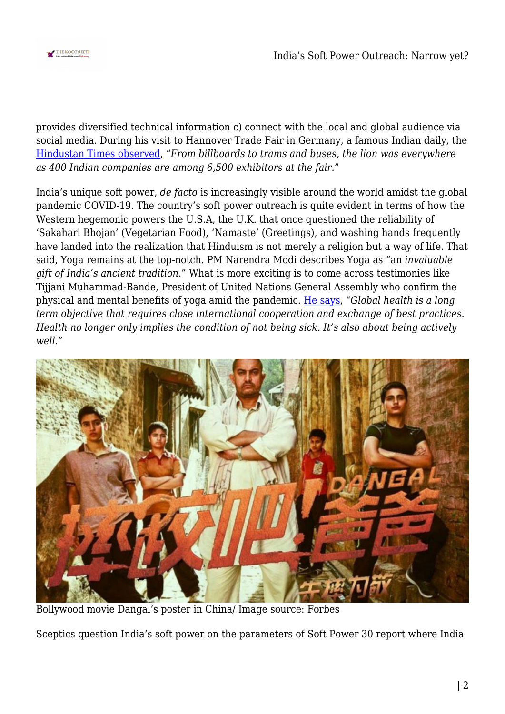

provides diversified technical information c) connect with the local and global audience via social media. During his visit to Hannover Trade Fair in Germany, a famous Indian daily, the [Hindustan Times observed](https://www.hindustantimes.com/india/pm-narendra-modi-uses-soft-power-to-hardsell-make-in-india-in-germany/story-KGy0G2p9bBlIftlBmqfvFI.html), "*From billboards to trams and buses, the lion was everywhere as 400 Indian companies are among 6,500 exhibitors at the fair.*"

India's unique soft power, *de facto* is increasingly visible around the world amidst the global pandemic COVID-19. The country's soft power outreach is quite evident in terms of how the Western hegemonic powers the U.S.A, the U.K. that once questioned the reliability of 'Sakahari Bhojan' (Vegetarian Food), 'Namaste' (Greetings), and washing hands frequently have landed into the realization that Hinduism is not merely a religion but a way of life. That said, Yoga remains at the top-notch. PM Narendra Modi describes Yoga as "an *invaluable gift of India's ancient tradition*." What is more exciting is to come across testimonies like Tijjani Muhammad-Bande, President of United Nations General Assembly who confirm the physical and mental benefits of yoga amid the pandemic. [He says](https://economictimes.indiatimes.com/news/politics-and-nation/unga-president-underscores-importance-of-yoga-as-people-deal-with-increased-anxiety-due-to-covid-19/articleshow/76477719.cms?from=mdr), "*Global health is a long term objective that requires close international cooperation and exchange of best practices. Health no longer only implies the condition of not being sick. It's also about being actively well*."



Bollywood movie Dangal's poster in China/ Image source: Forbes

Sceptics question India's soft power on the parameters of Soft Power 30 report where India